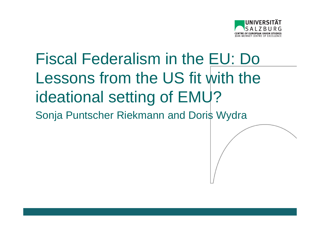

#### Fiscal Federalism in the EU: Do Lessons from the US fit with the ideational setting of EMU?Sonja Puntscher Riekmann and Doris Wydra

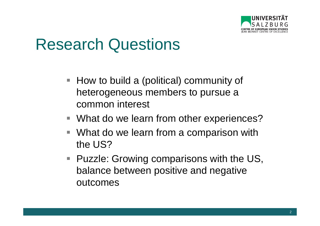

#### Research Questions

- $\blacksquare$  How to build a (political) community of heterogeneous members to pursue a common interest
- What do we learn from other experiences?
- What do we learn from a comparison with the US?
- Puzzle: Growing comparisons with the US, balance between positive and negative outcomes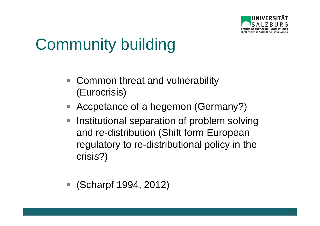

# Community building

- $\mathcal{L}_{\mathcal{A}}$  Common threat and vulnerability (Eurocrisis)
- П Accpetance of a hegemon (Germany?)
- $\overline{\mathbb{R}}$  Institutional separation of problem solving and re-distribution (Shift form European regulatory to re-distributional policy in the crisis?)
- (Scharpf 1994, 2012)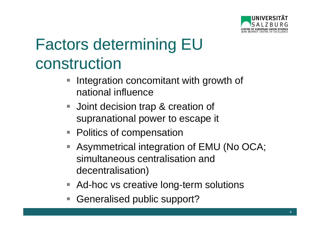

# Factors determining EU construction

- **Integration concomitant with growth of**  $\mathbb{R}^3$ national influence
- $\mathcal{L}_{\mathcal{A}}$  Joint decision trap & creation of supranational power to escape it
- Politics of compensation
- Asymmetrical integration of EMU (No OCA; simultaneous centralisation and decentralisation)
- Ad-hoc vs creative long-term solutions
- Generalised public support?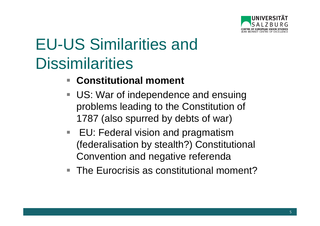

- **Constitutional moment**  $\overline{\phantom{a}}$
- **US: War of independence and ensuing** problems leading to the Constitution of 1787 (also spurred by debts of war)
- $\overline{\phantom{a}}$  EU: Federal vision and pragmatism (federalisation by stealth?) Constitutional Convention and negative referenda
- The Eurocrisis as constitutional moment?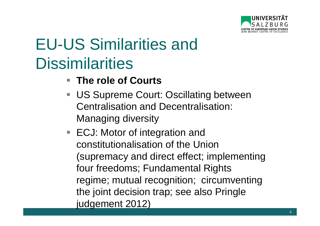

- The role of Courts
- **US Supreme Court: Oscillating between** Centralisation and Decentralisation: Managing diversity
- ECJ: Motor of integration and constitutionalisation of the Union (supremacy and direct effect; implementing four freedoms; Fundamental Rights regime; mutual recognition; circumventing the joint decision trap; see also Pringle judgement 2012)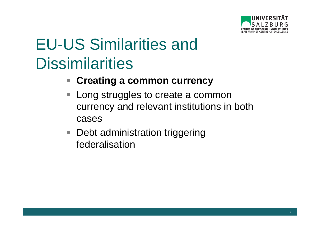

- **Creating a common currency** $\Box$
- $\mathbb{R}^3$  Long struggles to create a common currency and relevant institutions in both cases
- $\mathcal{L}_{\mathcal{A}}$ Debt administration triggering federalisation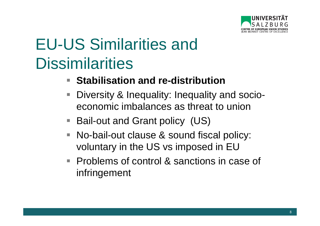

- **Stabilisation and re-distribution**
- Diversity & Inequality: Inequality and socioeconomic imbalances as threat to union
- **STATE** Bail-out and Grant policy (US)
- **STATE**  No-bail-out clause & sound fiscal policy: voluntary in the US vs imposed in EU
- Problems of control & sanctions in case of infringement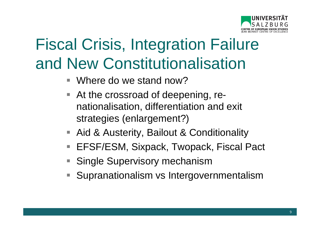

# Fiscal Crisis, Integration Failure and New Constitutionalisation

- $\Box$ Where do we stand now?
- At the crossroad of deepening, renationalisation, differentiation and exit strategies (enlargement?)
- Aid & Austerity, Bailout & Conditionality
- $\mathcal{L}_{\mathcal{A}}$ EFSF/ESM, Sixpack, Twopack, Fiscal Pact
- Single Supervisory mechanism
- Supranationalism vs Intergovernmentalism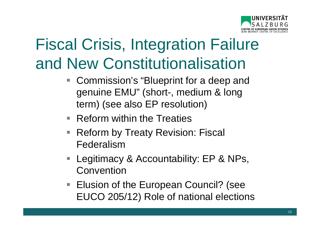

# Fiscal Crisis, Integration Failure and New Constitutionalisation

- Commission's "Blueprint for a deep and  $\mathbb{R}^n$ genuine EMU" (short-, medium & long term) (see also EP resolution)
- Reform within the Treaties
- Reform by Treaty Revision: Fiscal Federalism
- **STATE**  Legitimacy & Accountability: EP & NPs, Convention
- Elusion of the European Council? (see EUCO 205/12) Role of national elections